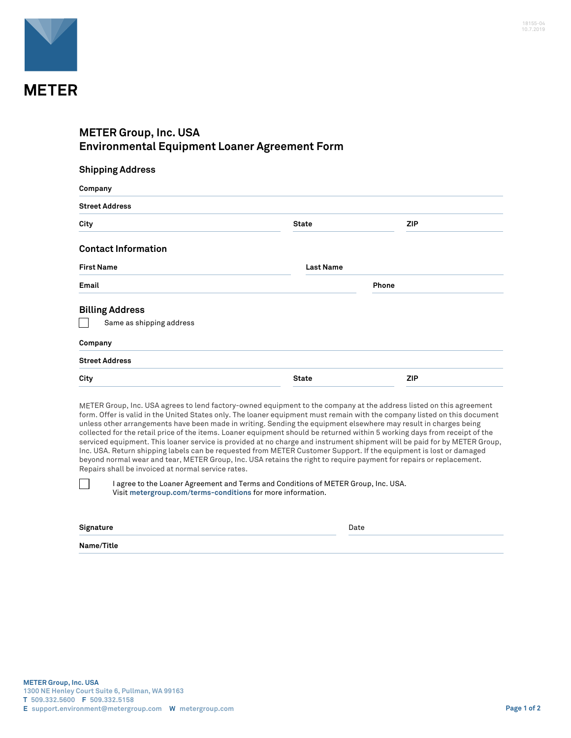

## **METER Group, Inc. USA Environmental Equipment Loaner Agreement Form**

| <b>Shipping Address</b>    |                  |            |  |  |
|----------------------------|------------------|------------|--|--|
| Company                    |                  |            |  |  |
| <b>Street Address</b>      |                  |            |  |  |
| City                       | <b>State</b>     | <b>ZIP</b> |  |  |
| <b>Contact Information</b> |                  |            |  |  |
| <b>First Name</b>          | <b>Last Name</b> |            |  |  |
| Email                      |                  | Phone      |  |  |
| <b>Billing Address</b>     |                  |            |  |  |
| Same as shipping address   |                  |            |  |  |
| Company                    |                  |            |  |  |
| <b>Street Address</b>      |                  |            |  |  |
| City                       | <b>State</b>     | <b>ZIP</b> |  |  |

METER Group, Inc. USA agrees to lend factory-owned equipment to the company at the address listed on this agreement form. Offer is valid in the United States only. The loaner equipment must remain with the company listed on this document unless other arrangements have been made in writing. Sending the equipment elsewhere may result in charges being collected for the retail price of the items. Loaner equipment should be returned within 5 working days from receipt of the serviced equipment. This loaner service is provided at no charge and instrument shipment will be paid for by METER Group, Inc. USA. Return shipping labels can be requested from METER Customer Support. If the equipment is lost or damaged beyond normal wear and tear, METER Group, Inc. USA retains the right to require payment for repairs or replacement. Repairs shall be invoiced at normal service rates.

I agree to the Loaner Agreement and Terms and Conditions of METER Group, Inc. USA. Visit **[metergroup.com/terms-conditions](https://www.metergroup.com/terms-conditions)** for more information.

| Signature  | Date<br>. |  |
|------------|-----------|--|
| Name/Title |           |  |